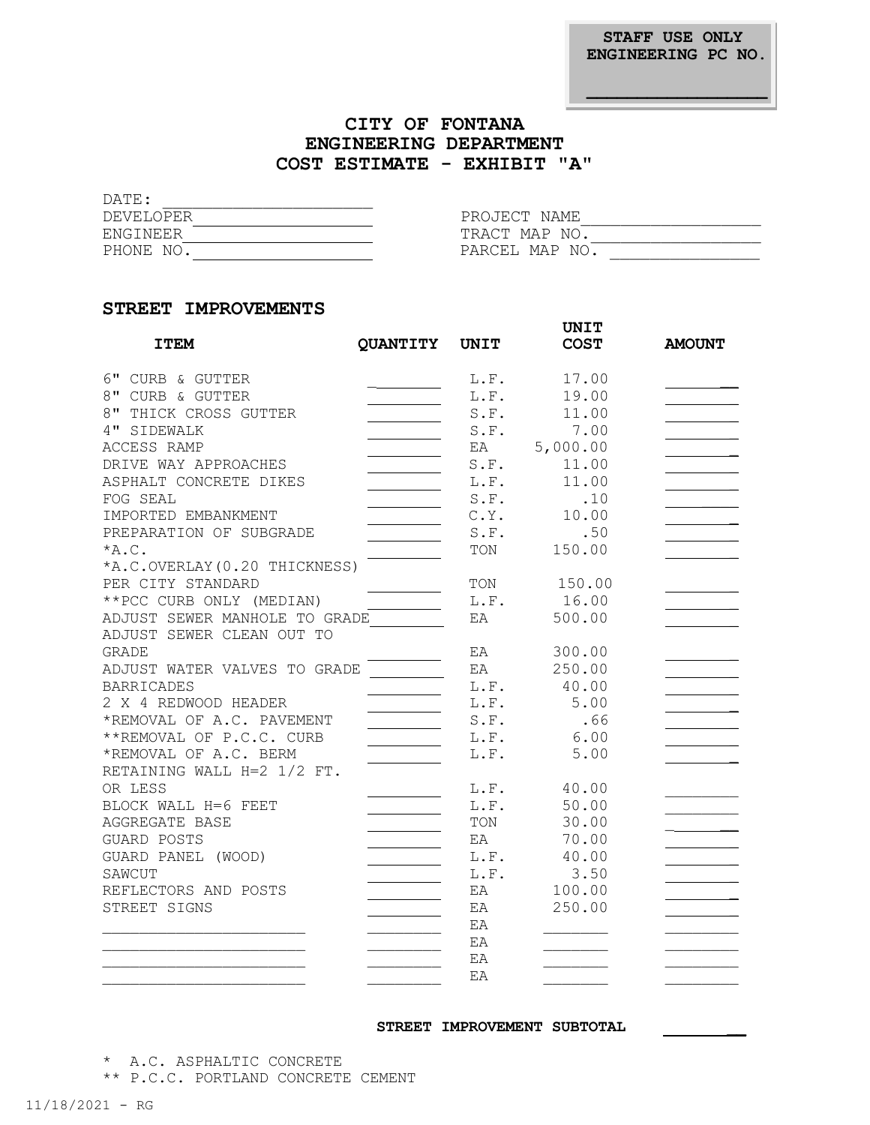**STAFF USE ONLY ENGINEERING PC NO.**

## **CITY OF FONTANA ENGINEERING DEPARTMENT COST ESTIMATE - EXHIBIT "A"**

DATE: \_\_\_\_\_\_\_\_\_\_\_\_\_\_\_\_\_\_\_\_\_

| DEVELOPER | PROJECT NAME   |
|-----------|----------------|
| ENGINEER  | TRACT MAP NO.  |
| PHONE NO. | PARCEL MAP NO. |

### **STREET IMPROVEMENTS**

|                               |                 |             | <b>UNIT</b> |               |
|-------------------------------|-----------------|-------------|-------------|---------------|
| <b>ITEM</b>                   | <b>QUANTITY</b> | <b>UNIT</b> | <b>COST</b> | <b>AMOUNT</b> |
| 6" CURB & GUTTER              |                 | L.F.        | 17.00       |               |
| 8" CURB & GUTTER              |                 | L.F.        | 19.00       |               |
| 8" THICK CROSS GUTTER         |                 | S.F.        | 11.00       |               |
| 4" SIDEWALK                   |                 | S.F.        | 7.00        |               |
| ACCESS RAMP                   |                 | EA          | 5,000.00    |               |
| DRIVE WAY APPROACHES          |                 | S.F.        | 11.00       |               |
| ASPHALT CONCRETE DIKES        |                 | L.F.        | 11.00       |               |
| FOG SEAL                      |                 | S.F.        | .10         |               |
| IMPORTED EMBANKMENT           |                 | C.Y.        | 10.00       |               |
| PREPARATION OF SUBGRADE       |                 | S.F.        | .50         |               |
| $*A.C.$                       |                 | TON         | 150.00      |               |
| *A.C.OVERLAY (0.20 THICKNESS) |                 |             |             |               |
| PER CITY STANDARD             |                 | TON         | 150.00      |               |
| ** PCC CURB ONLY (MEDIAN)     |                 | L.F.        | 16.00       |               |
| ADJUST SEWER MANHOLE TO GRADE |                 | EA          | 500.00      |               |
| ADJUST SEWER CLEAN OUT TO     |                 |             |             |               |
| <b>GRADE</b>                  |                 | EA          | 300.00      |               |
| ADJUST WATER VALVES TO GRADE  |                 | EA          | 250.00      |               |
| <b>BARRICADES</b>             |                 | L.F.        | 40.00       |               |
| 2 X 4 REDWOOD HEADER          |                 | L.F.        | 5.00        |               |
| *REMOVAL OF A.C. PAVEMENT     |                 | S.F.        | .66         |               |
| **REMOVAL OF P.C.C. CURB      |                 | L.F.        | 6.00        |               |
| *REMOVAL OF A.C. BERM         |                 | L.F.        | 5.00        |               |
| RETAINING WALL H=2 1/2 FT.    |                 |             |             |               |
| OR LESS                       |                 | L.F.        | 40.00       |               |
| BLOCK WALL H=6 FEET           |                 | L.F.        | 50.00       |               |
| AGGREGATE BASE                |                 | TON         | 30.00       |               |
| GUARD POSTS                   |                 | EA          | 70.00       |               |
| GUARD PANEL (WOOD)            |                 | L.F.        | 40.00       |               |
| SAWCUT                        |                 | L.F.        | 3.50        |               |
| REFLECTORS AND POSTS          |                 | EA          | 100.00      |               |
| STREET SIGNS                  |                 | EA          | 250.00      |               |
|                               |                 | EA          |             |               |
|                               |                 | EA          |             |               |
|                               |                 | EA          |             |               |
|                               |                 | EA          |             |               |
|                               |                 |             |             |               |

#### **STREET IMPROVEMENT SUBTOTAL \_\_**

\* A.C. ASPHALTIC CONCRETE

\*\* P.C.C. PORTLAND CONCRETE CEMENT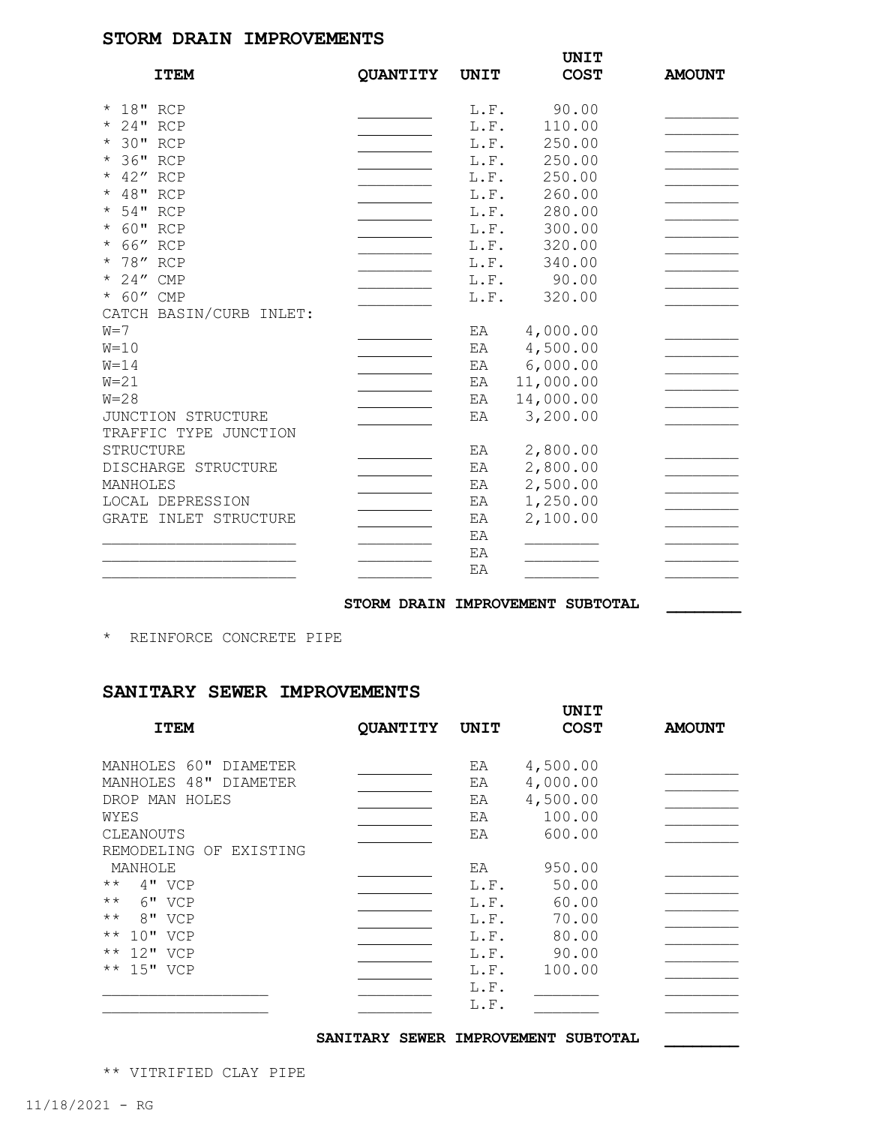### **STORM DRAIN IMPROVEMENTS**

|                         |          |             | <b>UNIT</b> |               |
|-------------------------|----------|-------------|-------------|---------------|
| <b>ITEM</b>             | QUANTITY | <b>UNIT</b> | <b>COST</b> | <b>AMOUNT</b> |
| * 18" RCP               |          | L.F.        | 90.00       |               |
| * 24" RCP               |          | L.F.        | 110.00      |               |
| * 30" RCP               |          | L.F.        | 250.00      |               |
| 36" RCP<br>$\star$      |          | L.F.        | 250.00      |               |
| * 42" RCP               |          | L.F.        | 250.00      |               |
| * 48" RCP               |          | L.F.        | 260.00      |               |
| 54" RCP<br>$\star$      |          | L.F.        | 280.00      |               |
| 60" RCP<br>$\star$      |          | L.F.        | 300.00      |               |
| * 66" RCP               |          | L.F.        | 320.00      |               |
| * 78" RCP               |          | L.F.        | 340.00      |               |
| * 24" CMP               |          | L.F.        | 90.00       |               |
| * 60" CMP               |          | L.F.        | 320.00      |               |
| CATCH BASIN/CURB INLET: |          |             |             |               |
| $W = 7$                 |          | EA          | 4,000.00    |               |
| $W=10$                  |          | EA          | 4,500.00    |               |
| $W = 14$                |          | ΕA          | 6,000.00    |               |
| $W = 21$                |          | EA          | 11,000.00   |               |
| $W = 28$                |          | ΕA          | 14,000.00   |               |
| JUNCTION STRUCTURE      |          | EA          | 3,200.00    |               |
| TRAFFIC TYPE JUNCTION   |          |             |             |               |
| STRUCTURE               |          | ΕA          | 2,800.00    |               |
| DISCHARGE STRUCTURE     |          | EA          | 2,800.00    |               |
| MANHOLES                |          | EA          | 2,500.00    |               |
| LOCAL DEPRESSION        |          | EA          | 1,250.00    |               |
| GRATE INLET STRUCTURE   |          | ΕA          | 2,100.00    |               |
|                         |          | EA          |             |               |
|                         |          | EA          |             |               |
|                         |          | EA          |             |               |
|                         |          |             |             |               |

STORM DRAIN IMPROVEMENT SUBTOTAL

\* REINFORCE CONCRETE PIPE

### **SANITARY SEWER IMPROVEMENTS**

|                                    |          |             | UNIT        |               |
|------------------------------------|----------|-------------|-------------|---------------|
| <b>ITEM</b>                        | QUANTITY | <b>UNIT</b> | <b>COST</b> | <b>AMOUNT</b> |
| MANHOLES 60"<br>DIAMETER           |          | EA          | 4,500.00    |               |
| 48"<br>MANHOLES<br><b>DIAMETER</b> |          | EA          | 4,000.00    |               |
| DROP MAN<br>HOLES                  |          | EA          | 4,500.00    |               |
| WYES                               |          | ΕA          | 100.00      |               |
| CLEANOUTS                          |          | EA          | 600.00      |               |
| REMODELING<br>OF<br>EXISTING       |          |             |             |               |
| MANHOLE                            |          | EA          | 950.00      |               |
| $\star\star$<br>$4"$ VCP           |          | L.F.        | 50.00       |               |
| $6"$ VCP<br>$\star\star$           |          | L.F.        | 60.00       |               |
| 8" VCP<br>$\star\star$             |          | L.F.        | 70.00       |               |
| $10"$ VCP<br>$\star\star$          |          | L.F.        | 80.00       |               |
| $12"$ VCP<br>$\star\star$          |          | L.F.        | 90.00       |               |
| 15" VCP<br>$\star\star$            |          | L.F.        | 100.00      |               |
|                                    |          | L.F.        |             |               |
|                                    |          | L.F.        |             |               |
|                                    |          |             |             |               |

**SANITARY SEWER IMPROVEMENT SUBTOTAL \_\_\_\_\_\_\_\_**

\*\* VITRIFIED CLAY PIPE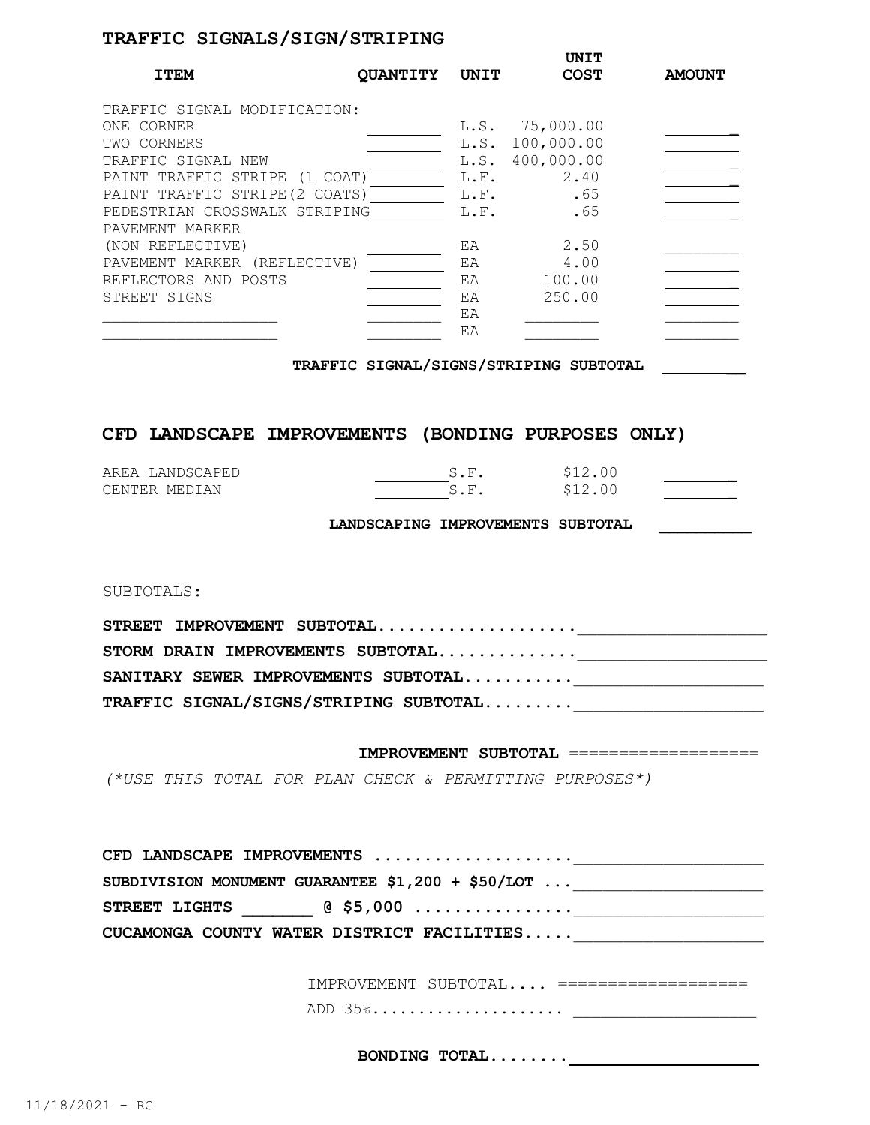# **TRAFFIC SIGNALS/SIGN/STRIPING**

| <b>ITEM</b>                                                                                                      | <b>OUANTITY</b> | UNIT                 | UNIT<br><b>COST</b>                                | <b>AMOUNT</b> |
|------------------------------------------------------------------------------------------------------------------|-----------------|----------------------|----------------------------------------------------|---------------|
| TRAFFIC SIGNAL MODIFICATION:<br>ONE CORNER<br>TWO CORNERS<br>TRAFFIC SIGNAL NEW<br>PAINT TRAFFIC STRIPE (1 COAT) |                 | L.S.<br>L.S.<br>L.F. | L.S. 75,000.00<br>100,000.00<br>400,000.00<br>2.40 |               |
| PAINT TRAFFIC STRIPE (2 COATS)<br>PEDESTRIAN CROSSWALK STRIPING<br>PAVEMENT MARKER                               |                 | L.F.<br>L.F.         | .65<br>.65                                         |               |
| (NON REFLECTIVE)<br>PAVEMENT MARKER (REFLECTIVE)<br>REFLECTORS AND POSTS                                         |                 | EA<br>EA<br>EA       | 2.50<br>4.00<br>100.00                             |               |
| STREET SIGNS                                                                                                     |                 | EA<br>EA<br>EA       | 250.00                                             |               |

**TRAFFIC SIGNAL/SIGNS/STRIPING SUBTOTAL \_\_**

# **CFD LANDSCAPE IMPROVEMENTS (BONDING PURPOSES ONLY)**

| AREA LANDSCAPED | \$12.00 |
|-----------------|---------|
| CENTER MEDIAN   | \$12.00 |

**LANDSCAPING IMPROVEMENTS SUBTOTAL \_\_\_\_\_\_\_\_\_\_**

SUBTOTALS:

| STREET IMPROVEMENT SUBTOTAL            |  |
|----------------------------------------|--|
| STORM DRAIN IMPROVEMENTS SUBTOTAL      |  |
| SANITARY SEWER IMPROVEMENTS SUBTOTAL   |  |
| TRAFFIC SIGNAL/SIGNS/STRIPING SUBTOTAL |  |

#### **IMPROVEMENT SUBTOTAL** ===================

*(\*USE THIS TOTAL FOR PLAN CHECK & PERMITTING PURPOSES\*)*

| CFD LANDSCAPE IMPROVEMENTS                                   |  |
|--------------------------------------------------------------|--|
| SUBDIVISION MONUMENT GUARANTEE \$1,200 + \$50/LOT            |  |
| STREET LIGHTS $\qquad \qquad \qquad \textcircled{1}$ \$5,000 |  |
| CUCAMONGA COUNTY WATER DISTRICT FACILITIES                   |  |

| IMPROVEMENT SUBTOTAL |  |
|----------------------|--|
| ADD 35%              |  |

BONDING **TOTAL.......**